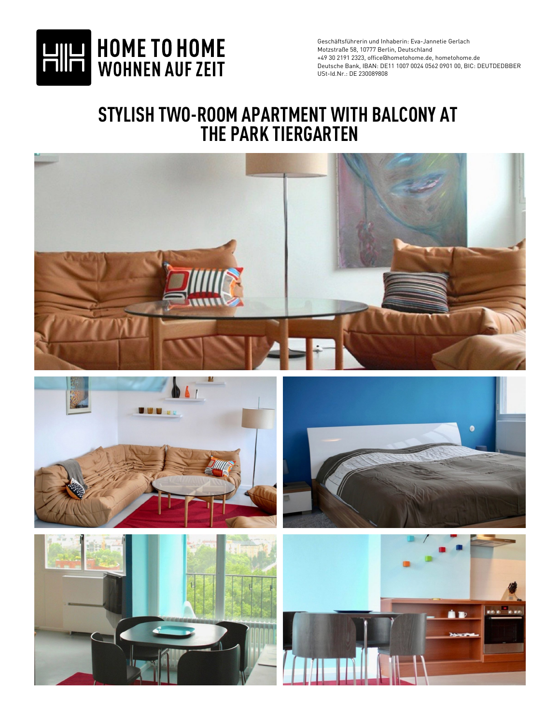

## **STYLISH TWO-ROOM APARTMENT WITH BALCONY AT THE PARK TIERGARTEN**

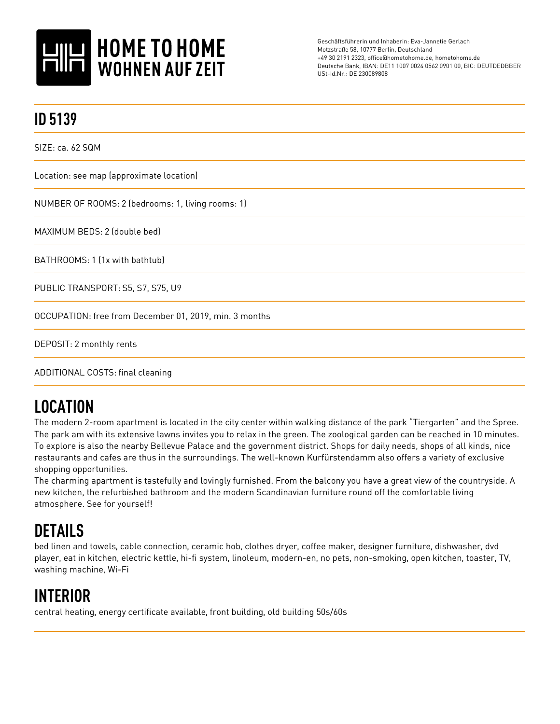

| <b>ID 5139</b>                                         |
|--------------------------------------------------------|
| SIZE: ca. 62 SQM                                       |
| Location: see map (approximate location)               |
| NUMBER OF ROOMS: 2 (bedrooms: 1, living rooms: 1)      |
| MAXIMUM BEDS: 2 (double bed)                           |
| BATHROOMS: 1 (1x with bathtub)                         |
| PUBLIC TRANSPORT: S5, S7, S75, U9                      |
| OCCUPATION: free from December 01, 2019, min. 3 months |
| DEPOSIT: 2 monthly rents                               |
|                                                        |

ADDITIONAL COSTS: final cleaning

## **LOCATION**

The modern 2-room apartment is located in the city center within walking distance of the park "Tiergarten" and the Spree. The park am with its extensive lawns invites you to relax in the green. The zoological garden can be reached in 10 minutes. To explore is also the nearby Bellevue Palace and the government district. Shops for daily needs, shops of all kinds, nice restaurants and cafes are thus in the surroundings. The well-known Kurfürstendamm also offers a variety of exclusive shopping opportunities.

The charming apartment is tastefully and lovingly furnished. From the balcony you have a great view of the countryside. A new kitchen, the refurbished bathroom and the modern Scandinavian furniture round off the comfortable living atmosphere. See for yourself!

## **DETAILS**

bed linen and towels, cable connection, ceramic hob, clothes dryer, coffee maker, designer furniture, dishwasher, dvd player, eat in kitchen, electric kettle, hi-fi system, linoleum, modern-en, no pets, non-smoking, open kitchen, toaster, TV, washing machine, Wi-Fi

## **INTERIOR**

central heating, energy certificate available, front building, old building 50s/60s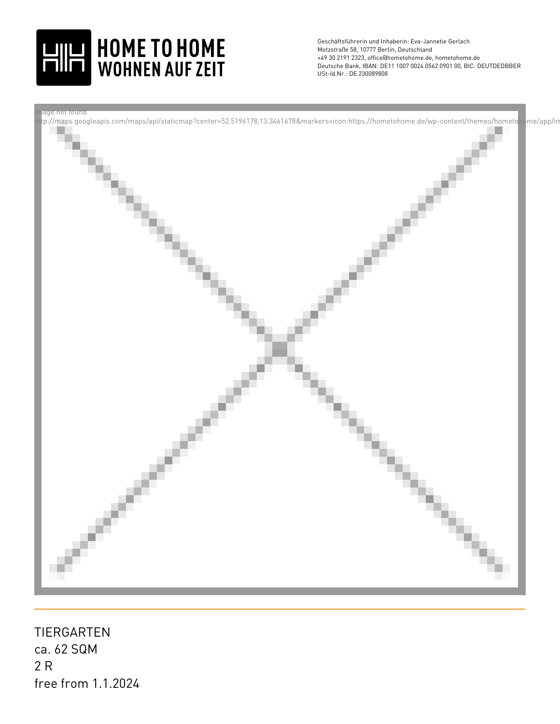



ca. 62 SQM 2 R TIERGARTEN free from 1.1.2024